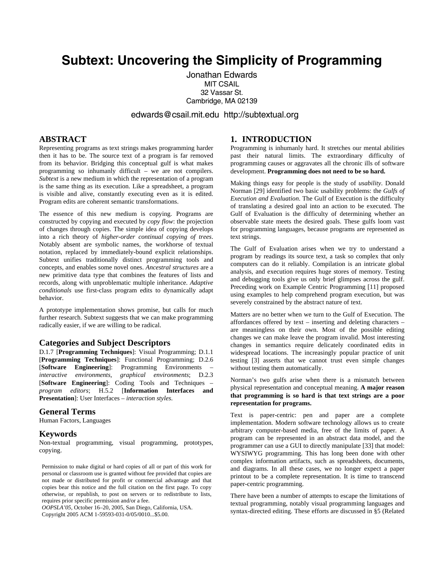# **Subtext: Uncovering the Simplicity of Programming**

Jonathan Edwards MIT CSAIL 32 Vassar St. Cambridge, MA 02139

[edwards@csail.mit.edu](mailto:edwards@csail.mit.edu) [http://subtextual.org](http://subtextual.org/) 

## **ABSTRACT**

Representing programs as text strings makes programming harder then it has to be. The source text of a program is far removed from its behavior. Bridging this conceptual gulf is what makes programming so inhumanly difficult – we are not compilers. *Subtext* is a new medium in which the representation of a program is the same thing as its execution. Like a spreadsheet, a program is visible and alive, constantly executing even as it is edited. Program edits are coherent semantic transformations.

The essence of this new medium is copying. Programs are constructed by copying and executed by *copy flow*: the projection of changes through copies. The simple idea of copying develops into a rich theory of *higher-order continual copying of trees*. Notably absent are symbolic names, the workhorse of textual notation, replaced by immediately-bound explicit relationships. Subtext unifies traditionally distinct programming tools and concepts, and enables some novel ones. *Ancestral structures* are a new primitive data type that combines the features of lists and records, along with unproblematic multiple inheritance. *Adaptive conditionals* use first-class program edits to dynamically adapt behavior.

A prototype implementation shows promise, but calls for much further research. Subtext suggests that we can make programming radically easier, if we are willing to be radical.

## **Categories and Subject Descriptors**

D.1.7 [**Programming Techniques**]: Visual Programming; D.1.1 [**Programming Techniques**]: Functional Programming; D.2.6 [**Software Engineering**]: Programming Environments – *interactive environments, graphical environments*; D.2.3 [**Software Engineering**]: Coding Tools and Techniques – *program editors*; H.5.2 [**Information Interfaces and Presentation**]: User Interfaces – *interaction styles*.

#### **General Terms**

Human Factors, Languages

#### **Keywords**

Non-textual programming, visual programming, prototypes, copying.

Permission to make digital or hard copies of all or part of this work for personal or classroom use is granted without fee provided that copies are not made or distributed for profit or commercial advantage and that copies bear this notice and the full citation on the first page. To copy otherwise, or republish, to post on servers or to redistribute to lists, otherwise, or republish, to post on servers or to redistribute to lists,<br>requires prior specific permission and/or a fee.<br>terminal programming a patchly visual programming languages and

Copyright 2005 ACM 1-59593-031-0/05/0010...\$5.00.

#### **1. INTRODUCTION**

Programming is inhumanly hard. It stretches our mental abilities past their natural limits. The extraordinary difficulty of programming causes or aggravates all the chronic ills of software development. **Programming does not need to be so hard.** 

Making things easy for people is the study of *usability*. Donald Norman [29] identified two basic usability problems: the *Gulfs of Execution and Evaluation*. The Gulf of Execution is the difficulty of translating a desired goal into an action to be executed. The Gulf of Evaluation is the difficulty of determining whether an observable state meets the desired goals. These gulfs loom vast for programming languages, because programs are represented as text strings.

The Gulf of Evaluation arises when we try to understand a program by readings its source text, a task so complex that only computers can do it reliably. Compilation is an intricate global analysis, and execution requires huge stores of memory. Testing and debugging tools give us only brief glimpses across the gulf. Preceding work on Example Centric Programming [11] proposed using examples to help comprehend program execution, but was severely constrained by the abstract nature of text.

Matters are no better when we turn to the Gulf of Execution. The affordances offered by text – inserting and deleting characters – are meaningless on their own. Most of the possible editing changes we can make leave the program invalid. Most interesting changes in semantics require delicately coordinated edits in widespread locations. The increasingly popular practice of unit testing [3] asserts that we cannot trust even simple changes without testing them automatically.

Norman's two gulfs arise when there is a mismatch between physical representation and conceptual meaning. **A major reason that programming is so hard is that text strings are a poor representation for programs.**

Text is paper-centric: pen and paper are a complete implementation. Modern software technology allows us to create arbitrary computer-based media, free of the limits of paper. A program can be represented in an abstract data model, and the programmer can use a GUI to directly manipulate [33] that model: WYSIWYG programming. This has long been done with other complex information artifacts, such as spreadsheets, documents, and diagrams. In all these cases, we no longer expect a paper printout to be a complete representation. It is time to transcend paper-centric programming.

textual programming, notably visual programming languages and syntax-directed editing. These efforts are discussed in §5 (Related *OOPSLA'05*, October 16–20, 2005, San Diego, California, USA.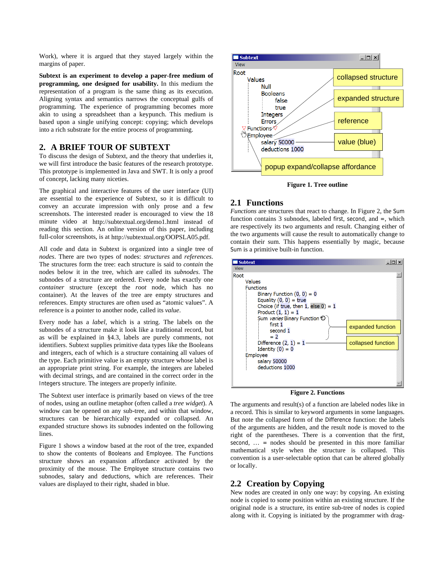Work), where it is argued that they stayed largely within the margins of paper.

**Subtext is an experiment to develop a paper**-**free medium of programming, one designed for usability.** In this medium the representation of a program is the same thing as its execution. Aligning syntax and semantics narrows the conceptual gulfs of programming. The experience of programming becomes more akin to using a spreadsheet than a keypunch. This medium is based upon a single unifying concept: copying; which develops into a rich substrate for the entire process of programming.

## **2. A BRIEF TOUR OF SUBTEXT**

To discuss the design of Subtext, and the theory that underlies it, we will first introduce the basic features of the research prototype. This prototype is implemented in Java and SWT. It is only a proof of concept, lacking many niceties.

The graphical and interactive features of the user interface (UI) are essential to the experience of Subtext, so it is difficult to convey an accurate impression with only prose and a few screenshots. The interested reader is encouraged to view the 18 minute video at <http://subtextual.org/demo1.html> instead of reading this section. An online version of this paper, including full-color screenshots, is at <http://subtextual.org/OOPSLA05.pdf>.

All code and data in Subtext is organized into a single tree of *nodes*. There are two types of nodes: *structures* and *references*. The structures form the tree: each structure is said to *contain* the nodes below it in the tree, which are called its *subnodes*. The subnodes of a structure are ordered. Every node has exactly one *container* structure (except the *root* node, which has no container). At the leaves of the tree are empty structures and references. Empty structures are often used as "atomic values". A reference is a pointer to another node, called its *value*.

Every node has a *label*, which is a string. The labels on the subnodes of a structure make it look like a traditional record, but as will be explained in §4.3, labels are purely comments, not identifiers. Subtext supplies primitive data types like the Booleans and integers, each of which is a structure containing all values of the type. Each primitive value is an empty structure whose label is an appropriate print string. For example, the integers are labeled with decimal strings, and are contained in the correct order in the Integers structure. The integers are properly infinite.

The Subtext user interface is primarily based on views of the tree of nodes, using an outline metaphor (often called a *tree widget*). A window can be opened on any sub-tree, and within that window, structures can be hierarchically expanded or collapsed. An expanded structure shows its subnodes indented on the following lines.

Figure 1 shows a window based at the root of the tree, expanded to show the contents of Booleans and Employee. The Functions structure shows an expansion affordance activated by the proximity of the mouse. The Employee structure contains two subnodes, salary and deductions, which are references. Their values are displayed to their right, shaded in blue.



**Figure 1. Tree outline** 

## **2.1 Functions**

*Functions* are structures that react to change. In Figure 2, the Sum function contains 3 subnodes, labeled first, second, and =, which are respectively its two arguments and result. Changing either of the two arguments will cause the result to automatically change to contain their sum. This happens essentially by magic, because Sum is a primitive built-in function.



**Figure 2. Functions** 

The arguments and result(s) of a function are labeled nodes like in a record. This is similar to keyword arguments in some languages. But note the collapsed form of the Difference function: the labels of the arguments are hidden, and the result node is moved to the right of the parentheses. There is a convention that the first, second, … = nodes should be presented in this more familiar mathematical style when the structure is collapsed. This convention is a user-selectable option that can be altered globally or locally.

#### **2.2 Creation by Copying**

New nodes are created in only one way: by copying. An existing node is copied to some position within an existing structure. If the original node is a structure, its entire sub-tree of nodes is copied along with it. Copying is initiated by the programmer with drag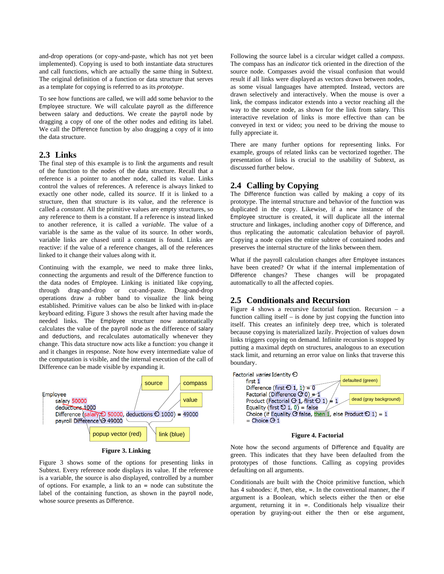and-drop operations (or copy-and-paste, which has not yet been implemented). Copying is used to both instantiate data structures and call functions, which are actually the same thing in Subtext. The original definition of a function or data structure that serves as a template for copying is referred to as its *prototype*.

To see how functions are called, we will add some behavior to the Employee structure. We will calculate payroll as the difference between salary and deductions. We create the payroll node by dragging a copy of one of the other nodes and editing its label. We call the Difference function by also dragging a copy of it into the data structure.

#### **2.3 Links**

The final step of this example is to *link* the arguments and result of the function to the nodes of the data structure. Recall that a reference is a pointer to another node, called its value. Links control the values of references. A reference is always linked to exactly one other node, called its *source*. If it is linked to a structure, then that structure is its value, and the reference is called a *constant*. All the primitive values are empty structures, so any reference to them is a constant. If a reference is instead linked to another reference, it is called a *variable*. The value of a variable is the same as the value of its source. In other words, variable links are chased until a constant is found. Links are reactive: if the value of a reference changes, all of the references linked to it change their values along with it.

Continuing with the example, we need to make three links, connecting the arguments and result of the Difference function to the data nodes of Employee. Linking is initiated like copying, through drag-and-drop or cut-and-paste. Drag-and-drop operations draw a rubber band to visualize the link being established. Primitive values can be also be linked with in-place keyboard editing. Figure 3 shows the result after having made the needed links. The Employee structure now automatically calculates the value of the payroll node as the difference of salary and deductions, and recalculates automatically whenever they change. This data structure now acts like a function: you change it and it changes in response. Note how every intermediate value of the computation is visible, and the internal execution of the call of Difference can be made visible by expanding it.



|  |  | <b>Figure 3. Linking</b> |
|--|--|--------------------------|
|--|--|--------------------------|

Figure 3 shows some of the options for presenting links in Subtext. Every reference node displays its value. If the reference is a variable, the source is also displayed, controlled by a number of options. For example, a link to an = node can substitute the label of the containing function, as shown in the payroll node, whose source presents as Difference.

Following the source label is a circular widget called a *compass*. The compass has an *indicator* tick oriented in the direction of the source node. Compasses avoid the visual confusion that would result if all links were displayed as vectors drawn between nodes, as some visual languages have attempted. Instead, vectors are drawn selectively and interactively. When the mouse is over a link, the compass indicator extends into a vector reaching all the way to the source node, as shown for the link from salary. This interactive revelation of links is more effective than can be conveyed in text or video; you need to be driving the mouse to fully appreciate it.

There are many further options for representing links. For example, groups of related links can be vectorized together. The presentation of links is crucial to the usability of Subtext, as discussed further below.

# **2.4 Calling by Copying**

The Difference function was called by making a copy of its prototype. The internal structure and behavior of the function was duplicated in the copy. Likewise, if a new instance of the Employee structure is created, it will duplicate all the internal structure and linkages, including another copy of Difference, and thus replicating the automatic calculation behavior of payroll. Copying a node copies the entire subtree of contained nodes and preserves the internal structure of the links between them.

What if the payroll calculation changes after Employee instances have been created? Or what if the internal implementation of Difference changes? These changes will be propagated automatically to all the affected copies.

# **2.5 Conditionals and Recursion**

Figure 4 shows a recursive factorial function. Recursion – a function calling itself  $-$  is done by just copying the function into itself. This creates an infinitely deep tree, which is tolerated because copying is materialized lazily. Projection of values down links triggers copying on demand. Infinite recursion is stopped by putting a maximal depth on structures, analogous to an execution stack limit, and returning an error value on links that traverse this boundary.



#### **Figure 4. Factorial**

Note how the second arguments of Difference and Equality are green. This indicates that they have been defaulted from the prototypes of those functions. Calling as copying provides defaulting on all arguments.

Conditionals are built with the Choice primitive function, which has 4 subnodes: if, then, else, =. In the conventional manner, the if argument is a Boolean, which selects either the then or else argument, returning it in  $=$ . Conditionals help visualize their operation by graying-out either the then or else argument,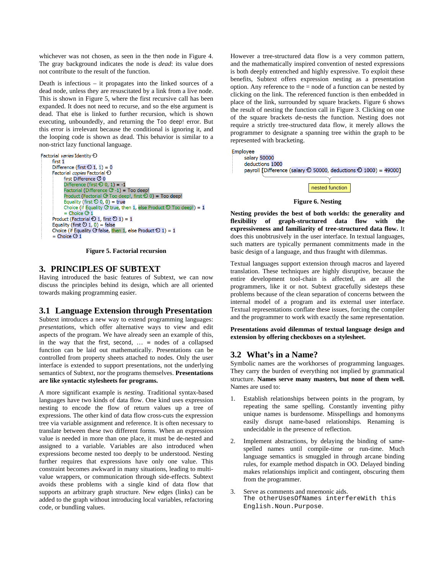whichever was not chosen, as seen in the then node in Figure 4. The gray background indicates the node is *dead*: its value does not contribute to the result of the function.

Death is infectious – it propagates into the linked sources of a dead node, unless they are resuscitated by a link from a live node. This is shown in Figure 5, where the first recursive call has been expanded. It does not need to recurse, and so the else argument is dead. That else is linked to further recursion, which is shown executing, unboundedly, and returning the Too deep! error. But this error is irrelevant because the conditional is ignoring it, and the looping code is shown as dead. This behavior is similar to a non-strict lazy functional language.

```
Factorial varies Identity O
first 1
Difference (first \Theta 1, 1) = 0
Factorial copies Factorial <sup>○</sup>
      first Difference O 0
      Difference (first \ominus 0, 1) = -1
       Factorial (Difference \overline{G} -1) = Too deep!
      Product (Factorial \Theta Too deep!, first \Theta 0) = Too deep!
      Equality (first \odot 0, 0) = true
      Choice (if Equality \odot true, then 1, else Product \odot Too deep!) = 1
      = Choice \Theta 1
Product (Factorial \Theta 1, first \mathcal{O} 1) = 1
Equality (first \circledcirc 1, 0) = false
Choice (if Equality \Im false, then 1, else Product \Im 1) = 1
= Choice \Theta 1
```
**Figure 5. Factorial recursion** 

# **3. PRINCIPLES OF SUBTEXT**

Having introduced the basic features of Subtext, we can now discuss the principles behind its design, which are all oriented towards making programming easier.

#### **3.1 Language Extension through Presentation**

Subtext introduces a new way to extend programming languages: *presentations*, which offer alternative ways to view and edit aspects of the program. We have already seen an example of this, in the way that the first, second, … = nodes of a collapsed function can be laid out mathematically. Presentations can be controlled from property sheets attached to nodes. Only the user interface is extended to support presentations, not the underlying semantics of Subtext, nor the programs themselves. **Presentations are like syntactic stylesheets for programs.**

A more significant example is *nesting*. Traditional syntax-based languages have two kinds of data flow. One kind uses expression nesting to encode the flow of return values up a tree of expressions. The other kind of data flow cross-cuts the expression tree via variable assignment and reference. It is often necessary to translate between these two different forms. When an expression value is needed in more than one place, it must be de-nested and assigned to a variable. Variables are also introduced when expressions become nested too deeply to be understood. Nesting further requires that expressions have only one value. This constraint becomes awkward in many situations, leading to multivalue wrappers, or communication through side-effects. Subtext avoids these problems with a single kind of data flow that supports an arbitrary graph structure. New edges (links) can be added to the graph without introducing local variables, refactoring code, or bundling values.

However a tree-structured data flow is a very common pattern, and the mathematically inspired convention of nested expressions is both deeply entrenched and highly expressive. To exploit these benefits, Subtext offers expression nesting as a presentation option. Any reference to the  $=$  node of a function can be nested by clicking on the link. The referenced function is then embedded in place of the link, surrounded by square brackets. Figure 6 shows the result of nesting the function call in Figure 3. Clicking on one of the square brackets de-nests the function. Nesting does not require a strictly tree-structured data flow, it merely allows the programmer to designate a spanning tree within the graph to be represented with bracketing.

Employee salary 50000 deductions 1000 payroll [Difference (salary € 50000, deductions € 1000) = 49000]



**Figure 6. Nesting** 

**Nesting provides the best of both worlds: the generality and flexibility of graph-structured data flow with the expressiveness and familiarity of tree-structured data flow.** It does this unobtrusively in the user interface. In textual languages, such matters are typically permanent commitments made in the basic design of a language, and thus fraught with dilemmas.

Textual languages support extension through macros and layered translation. These techniques are highly disruptive, because the entire development tool-chain is affected, as are all the programmers, like it or not. Subtext gracefully sidesteps these problems because of the clean separation of concerns between the internal model of a program and its external user interface. Textual representations conflate these issues, forcing the compiler and the programmer to work with exactly the same representation.

**Presentations avoid dilemmas of textual language design and extension by offering checkboxes on a stylesheet.**

## **3.2 What's in a Name?**

Symbolic names are the workhorses of programming languages. They carry the burden of everything not implied by grammatical structure. **Names serve many masters, but none of them well.** Names are used to:

- 1. Establish relationships between points in the program, by repeating the same spelling. Constantly inventing pithy unique names is burdensome. Misspellings and homonyms easily disrupt name-based relationships. Renaming is undecidable in the presence of reflection.
- 2. Implement abstractions, by delaying the binding of samespelled names until compile-time or run-time. Much language semantics is smuggled in through arcane binding rules, for example method dispatch in OO. Delayed binding makes relationships implicit and contingent, obscuring them from the programmer.
- 3. Serve as comments and mnemonic aids. The otherUsesOfNames interfereWith this English.Noun.Purpose.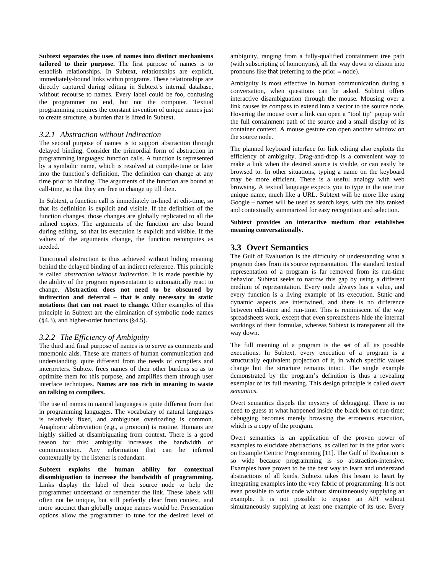**Subtext separates the uses of names into distinct mechanisms tailored to their purpose.** The first purpose of names is to establish relationships. In Subtext, relationships are explicit, immediately-bound links within programs. These relationships are directly captured during editing in Subtext's internal database, without recourse to names. Every label could be foo, confusing the programmer no end, but not the computer. Textual programming requires the constant invention of unique names just to create structure, a burden that is lifted in Subtext.

#### *3.2.1 Abstraction without Indirection*

The second purpose of names is to support abstraction through delayed binding. Consider the primordial form of abstraction in programming languages: function calls. A function is represented by a symbolic name, which is resolved at compile-time or later into the function's definition. The definition can change at any time prior to binding. The arguments of the function are bound at call-time, so that they are free to change up till then.

In Subtext, a function call is immediately in-lined at edit-time, so that its definition is explicit and visible. If the definition of the function changes, those changes are globally replicated to all the inlined copies. The arguments of the function are also bound during editing, so that its execution is explicit and visible. If the values of the arguments change, the function recomputes as needed.

Functional abstraction is thus achieved without hiding meaning behind the delayed binding of an indirect reference. This principle is called *abstraction without indirection*. It is made possible by the ability of the program representation to automatically react to change. **Abstraction does not need to be obscured by indirection and deferral – that is only necessary in static notations that can not react to change.** Other examples of this principle in Subtext are the elimination of symbolic node names (§4.3), and higher-order functions (§4.5).

#### *3.2.2 The Efficiency of Ambiguity*

The third and final purpose of names is to serve as comments and mnemonic aids. These are matters of human communication and understanding, quite different from the needs of compilers and interpreters. Subtext frees names of their other burdens so as to optimize them for this purpose, and amplifies them through user interface techniques. **Names are too rich in meaning to waste on talking to compilers.** 

The use of names in natural languages is quite different from that in programming languages. The vocabulary of natural languages is relatively fixed, and ambiguous overloading is common. Anaphoric abbreviation (e.g., a pronoun) is routine. Humans are highly skilled at disambiguating from context. There is a good reason for this: ambiguity increases the bandwidth of communication. Any information that can be inferred contextually by the listener is redundant.

**Subtext exploits the human ability for contextual disambiguation to increase the bandwidth of programming.** Links display the label of their source node to help the programmer understand or remember the link. These labels will often not be unique, but still perfectly clear from context, and more succinct than globally unique names would be. Presentation options allow the programmer to tune for the desired level of

ambiguity, ranging from a fully-qualified containment tree path (with subscripting of homonyms), all the way down to elision into pronouns like that (referring to the prior = node).

Ambiguity is most effective in human communication during a conversation, when questions can be asked. Subtext offers interactive disambiguation through the mouse. Mousing over a link causes its compass to extend into a vector to the source node. Hovering the mouse over a link can open a "tool tip" popup with the full containment path of the source and a small display of its container context. A mouse gesture can open another window on the source node.

The planned keyboard interface for link editing also exploits the efficiency of ambiguity. Drag-and-drop is a convenient way to make a link when the desired source is visible, or can easily be browsed to. In other situations, typing a name on the keyboard may be more efficient. There is a useful analogy with web browsing. A textual language expects you to type in the one true unique name, much like a URL. Subtext will be more like using Google – names will be used as search keys, with the hits ranked and contextually summarized for easy recognition and selection.

**Subtext provides an interactive medium that establishes meaning conversationally.** 

# **3.3 Overt Semantics**

The Gulf of Evaluation is the difficulty of understanding what a program does from its source representation. The standard textual representation of a program is far removed from its run-time behavior. Subtext seeks to narrow this gap by using a different medium of representation. Every node always has a value, and every function is a living example of its execution. Static and dynamic aspects are intertwined, and there is no difference between edit-time and run-time. This is reminiscent of the way spreadsheets work, except that even spreadsheets hide the internal workings of their formulas, whereas Subtext is transparent all the way down.

The full meaning of a program is the set of all its possible executions. In Subtext, every execution of a program is a structurally equivalent projection of it, in which specific values change but the structure remains intact. The single example demonstrated by the program's definition is thus a revealing exemplar of its full meaning. This design principle is called *overt semantics*.

Overt semantics dispels the mystery of debugging. There is no need to guess at what happened inside the black box of run-time: debugging becomes merely browsing the erroneous execution, which is a copy of the program.

Overt semantics is an application of the proven power of examples to elucidate abstractions, as called for in the prior work on Example Centric Programming [11]. The Gulf of Evaluation is so wide because programming is so abstraction-intensive. Examples have proven to be the best way to learn and understand abstractions of all kinds. Subtext takes this lesson to heart by integrating examples into the very fabric of programming. It is not even possible to write code without simultaneously supplying an example. It is not possible to expose an API without simultaneously supplying at least one example of its use. Every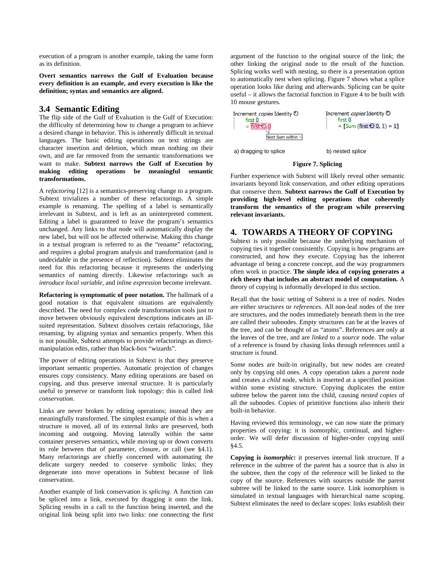execution of a program is another example, taking the same form as its definition.

**Overt semantics narrows the Gulf of Evaluation because every definition is an example, and every execution is like the definition; syntax and semantics are aligned.** 

#### **3.4 Semantic Editing**

The flip side of the Gulf of Evaluation is the Gulf of Execution: the difficulty of determining how to change a program to achieve a desired change in behavior. This is inherently difficult in textual languages. The basic editing operations on text strings are character insertion and deletion, which mean nothing on their own, and are far removed from the semantic transformations we want to make. **Subtext narrows the Gulf of Execution by making editing operations be meaningful semantic transformations.**

A *refactoring* [12] is a semantics-preserving change to a program. Subtext trivializes a number of these refactorings. A simple example is renaming. The spelling of a label is semantically irrelevant in Subtext, and is left as an uninterpreted comment. Editing a label is guaranteed to leave the program's semantics unchanged. Any links to that node will automatically display the new label, but will not be affected otherwise. Making this change in a textual program is referred to as the "rename" refactoring, and requires a global program analysis and transformation (and is undecidable in the presence of reflection). Subtext eliminates the need for this refactoring because it represents the underlying semantics of naming directly. Likewise refactorings such as *introduce local variable*, and *inline expression* become irrelevant.

**Refactoring is symptomatic of poor notation.** The hallmark of a good notation is that equivalent situations are equivalently described. The need for complex code transformation tools just to move between obviously equivalent descriptions indicates an illsuited representation. Subtext dissolves certain refactorings, like renaming, by aligning syntax and semantics properly. When this is not possible, Subtext attempts to provide refactorings as directmanipulation edits, rather than black-box "wizards".

The power of editing operations in Subtext is that they preserve important semantic properties. Automatic projection of changes ensures copy consistency. Many editing operations are based on copying, and thus preserve internal structure. It is particularly useful to preserve or transform link topology: this is called *link conservation*.

Links are never broken by editing operations; instead they are meaningfully transformed. The simplest example of this is when a structure is moved, all of its external links are preserved, both incoming and outgoing. Moving laterally within the same container preserves semantics, while moving up or down converts its role between that of parameter, closure, or call (see §4.1). Many refactorings are chiefly concerned with automating the delicate surgery needed to conserve symbolic links; they degenerate into move operations in Subtext because of link conservation.

Another example of link conservation is *splicing*. A function can be spliced into a link, executed by dragging it onto the link. Splicing results in a call to the function being inserted, and the original link being split into two links: one connecting the first

argument of the function to the original source of the link; the other linking the original node to the result of the function. Splicing works well with nesting, so there is a presentation option to automatically nest when splicing. Figure 7 shows what a splice operation looks like during and afterwards. Splicing can be quite useful – it allows the factorial function in Figure 4 to be built with 10 mouse gestures.

| Increment <i>copies</i> Identity <b>O</b><br>first 0<br>$=$ first $\Theta$ , $0$<br>Nest Sum within $=$ | Increment <i>copies</i> Identity O<br>first 0<br>= $[Sum (first \Theta 0, 1) = 1]$ |
|---------------------------------------------------------------------------------------------------------|------------------------------------------------------------------------------------|
| a) dragging to splice                                                                                   | b) nested splice                                                                   |

#### **Figure 7. Splicing**

Further experience with Subtext will likely reveal other semantic invariants beyond link conservation, and other editing operations that conserve them. **Subtext narrows the Gulf of Execution by providing high-level editing operations that coherently transform the semantics of the program while preserving relevant invariants.**

#### **4. TOWARDS A THEORY OF COPYING**

Subtext is only possible because the underlying mechanism of copying ties it together consistently. Copying is how programs are constructed, and how they execute. Copying has the inherent advantage of being a concrete concept, and the way programmers often work in practice. **The simple idea of copying generates a rich theory that includes an abstract model of computation.** A theory of copying is informally developed in this section.

Recall that the basic setting of Subtext is a tree of *nodes*. Nodes are either *structures* or *references*. All non-leaf nodes of the tree are structures, and the nodes immediately beneath them in the tree are called their subnodes. Empty structures can be at the leaves of the tree, and can be thought of as "atoms". References are only at the leaves of the tree, and are *linked* to a *source* node. The *value* of a reference is found by chasing links through references until a structure is found.

Some nodes are built-in originally, but new nodes are created only by copying old ones. A copy operation takes a *parent* node and creates a *child* node, which is inserted at a specified position within some existing structure. Copying duplicates the entire subtree below the parent into the child, causing *nested copies* of all the subnodes. Copies of primitive functions also inherit their built-in behavior.

Having reviewed this terminology, we can now state the primary properties of copying: it is isomorphic, continual, and higherorder. We will defer discussion of higher-order copying until §4.5.

**Copying is** *isomorphic***:** it preserves internal link structure. If a reference in the subtree of the parent has a source that is also in the subtree, then the copy of the reference will be linked to the copy of the source. References with sources outside the parent subtree will be linked to the same source. Link isomorphism is simulated in textual languages with hierarchical name scoping. Subtext eliminates the need to declare scopes: links establish their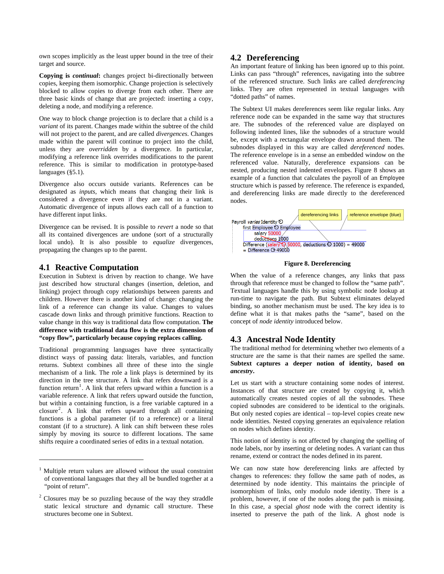own scopes implicitly as the least upper bound in the tree of their target and source.

**Copying is** *continual***:** changes project bi-directionally between copies, keeping them isomorphic. Change projection is selectively blocked to allow copies to diverge from each other. There are three basic kinds of change that are projected: inserting a copy, deleting a node, and modifying a reference.

One way to block change projection is to declare that a child is a *variant* of its parent. Changes made within the subtree of the child will not project to the parent, and are called *divergences*. Changes made within the parent will continue to project into the child, unless they are *overridden* by a divergence. In particular, modifying a reference link overrides modifications to the parent reference. This is similar to modification in prototype-based languages (§5.1).

Divergence also occurs outside variants. References can be designated as *inputs*, which means that changing their link is considered a divergence even if they are not in a variant. Automatic divergence of inputs allows each call of a function to have different input links.

Divergence can be revised. It is possible to *revert* a node so that all its contained divergences are undone (sort of a structurally local undo). It is also possible to *equalize* divergences, propagating the changes up to the parent.

## **4.1 Reactive Computation**

 $\overline{a}$ 

Execution in Subtext is driven by reaction to change. We have just described how structural changes (insertion, deletion, and linking) project through copy relationships between parents and children. However there is another kind of change: changing the link of a reference can change its value. Changes to values cascade down links and through primitive functions. Reaction to value change in this way is traditional data flow computation. **The difference with traditional data flow is the extra dimension of "copy flow", particularly because copying replaces calling.**

Traditional programming languages have three syntactically distinct ways of passing data: literals, variables, and function returns. Subtext combines all three of these into the single mechanism of a link. The role a link plays is determined by its direction in the tree structure. A link that refers downward is a function return<sup>1</sup>. A link that refers upward within a function is a variable reference. A link that refers upward outside the function, but within a containing function, is a free variable captured in a closure<sup>2</sup> . A link that refers upward through all containing functions is a global parameter (if to a reference) or a literal constant (if to a structure). A link can shift between these roles simply by moving its source to different locations. The same shifts require a coordinated series of edits in a textual notation.

# **4.2 Dereferencing**

An important feature of linking has been ignored up to this point. Links can pass "through" references, navigating into the subtree of the referenced structure. Such links are called *dereferencing* links. They are often represented in textual languages with "dotted paths" of names.

The Subtext UI makes dereferences seem like regular links. Any reference node can be expanded in the same way that structures are. The subnodes of the referenced value are displayed on following indented lines, like the subnodes of a structure would be, except with a rectangular envelope drawn around them. The subnodes displayed in this way are called *dereferenced* nodes. The reference envelope is in a sense an embedded window on the referenced value. Naturally, dereference expansions can be nested, producing nested indented envelopes. Figure 8 shows an example of a function that calculates the payroll of an Employee structure which is passed by reference. The reference is expanded, and dereferencing links are made directly to the dereferenced nodes.



**Figure 8. Dereferencing** 

When the value of a reference changes, any links that pass through that reference must be changed to follow the "same path". Textual languages handle this by using symbolic node lookup at run-time to navigate the path. But Subtext eliminates delayed binding, so another mechanism must be used. The key idea is to define what it is that makes paths the "same", based on the concept of *node identity* introduced below.

## **4.3 Ancestral Node Identity**

The traditional method for determining whether two elements of a structure are the same is that their names are spelled the same. **Subtext captures a deeper notion of identity, based on**  *ancestry***.** 

Let us start with a structure containing some nodes of interest. Instances of that structure are created by copying it, which automatically creates nested copies of all the subnodes. These copied subnodes are considered to be identical to the originals. But only nested copies are identical – top-level copies create new node identities. Nested copying generates an equivalence relation on nodes which defines identity.

This notion of identity is not affected by changing the spelling of node labels, nor by inserting or deleting nodes. A variant can thus rename, extend or contract the nodes defined in its parent.

We can now state how dereferencing links are affected by changes to references: they follow the same path of nodes, as determined by node identity. This maintains the principle of isomorphism of links, only modulo node identity. There is a problem, however, if one of the nodes along the path is missing. In this case, a special *ghost* node with the correct identity is inserted to preserve the path of the link. A ghost node is

<sup>1</sup> Multiple return values are allowed without the usual constraint of conventional languages that they all be bundled together at a "point of return".

 $2^2$  Closures may be so puzzling because of the way they straddle static lexical structure and dynamic call structure. These structures become one in Subtext.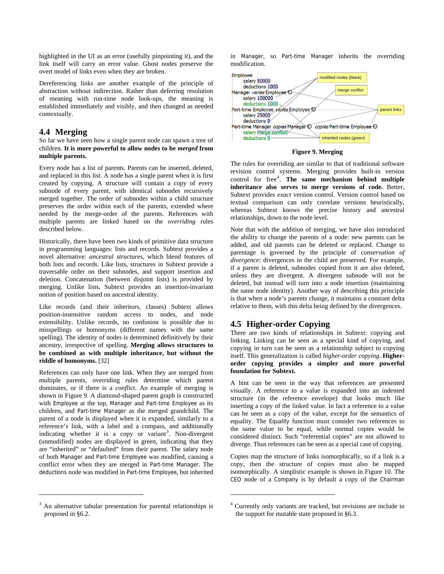highlighted in the UI as an error (usefully pinpointing it), and the link itself will carry an error value. Ghost nodes preserve the overt model of links even when they are broken.

Dereferencing links are another example of the principle of abstraction without indirection. Rather than deferring resolution of meaning with run-time node look-ups, the meaning is established immediately and visibly, and then changed as needed contextually.

# **4.4 Merging**

So far we have seen how a single parent node can spawn a tree of children. **It is more powerful to allow nodes to be** *merged* **from multiple parents.**

Every node has a list of parents. Parents can be inserted, deleted, and replaced in this list. A node has a single parent when it is first created by copying. A structure will contain a copy of every subnode of every parent, with identical subnodes recursively merged together. The order of subnodes within a child structure preserves the order within each of the parents, extended where needed by the merge-order of the parents. References with multiple parents are linked based on the *overriding* rules described below.

Historically, there have been two kinds of primitive data structure in programming languages: lists and records. Subtext provides a novel alternative: *ancestral structures*, which blend features of both lists and records. Like lists, structures in Subtext provide a traversable order on their subnodes, and support insertion and deletion. Concatenation (between disjoint lists) is provided by merging. Unlike lists, Subtext provides an insertion-invariant notion of position based on ancestral identity.

Like records (and their inheritors, classes) Subtext allows position-insensitive random access to nodes, and node extensibility. Unlike records, no confusion is possible due to misspellings or homonyms (different names with the same spelling). The identity of nodes is determined definitively by their ancestry, irrespective of spelling. **Merging allows structures to be combined as with multiple inheritance, but without the riddle of homonyms.** [32]

References can only have one link. When they are merged from multiple parents, overriding rules determine which parent dominates, or if there is a *conflict*. An example of merging is shown in Figure 9. A diamond-shaped parent graph is constructed with Employee at the top, Manager and Part-time Employee as its children, and Part-time Manager as the merged grandchild. The parent of a node is displayed when it is expanded, similarly to a reference's link, with a label and a compass, and additionally indicating whether it is a copy or variant<sup>3</sup>. Non-divergent (unmodified) nodes are displayed in green, indicating that they are "inherited" or "defaulted" from their parent. The salary node of both Manager and Part-time Employee was modified, causing a conflict error when they are merged in Part-time Manager. The deductions node was modified in Part-time Employee, but inherited

3 An alternative tabular presentation for parental relationships is proposed in §6.2.

 $\overline{a}$ 

in Manager, so Part-time Manager inherits the overriding modification.



**Figure 9. Merging** 

The rules for overriding are similar to that of traditional software revision control systems. Merging provides built-in version control for free<sup>4</sup>. The same mechanism behind multiple **inheritance also serves to merge versions of code.** Better, Subtext provides *exact* version control. Version control based on textual comparison can only correlate versions heuristically, whereas Subtext knows the precise history and ancestral relationships, down to the node level.

Note that with the addition of merging, we have also introduced the ability to change the parents of a node: new parents can be added, and old parents can be deleted or replaced. Change to parentage is governed by the principle of *conservation of divergence*: divergences in the child are preserved. For example, if a parent is deleted, subnodes copied from it are also deleted, unless they are divergent. A divergent subnode will not be deleted, but instead will turn into a node insertion (maintaining the same node identity). Another way of describing this principle is that when a node's parents change, it maintains a constant delta relative to them, with this delta being defined by the divergences.

# **4.5 Higher-order Copying**

1

There are two kinds of relationships in Subtext: copying and linking. Linking can be seen as a special kind of copying, and copying in turn can be seen as a relationship subject to copying itself. This generalization is called *higher-order copying*. **Higherorder copying provides a simpler and more powerful foundation for Subtext.**

A hint can be seen in the way that references are presented visually. A reference to a value is expanded into an indented structure (in the reference envelope) that looks much like inserting a copy of the linked value. In fact a reference to a value can be seen as a copy of the value, except for the semantics of equality. The Equality function must consider two references to the same value to be equal, while normal copies would be considered distinct. Such "referential copies" are not allowed to diverge. Thus references can be seen as a special case of copying.

Copies map the structure of links isomorphically, so if a link is a copy, then the structure of copies must also be mapped isomorphically. A simplistic example is shown in Figure 10. The CEO node of a Company is by default a copy of the Chairman

<sup>4</sup> Currently only variants are tracked, but revisions are include in the support for mutable state proposed in §6.3.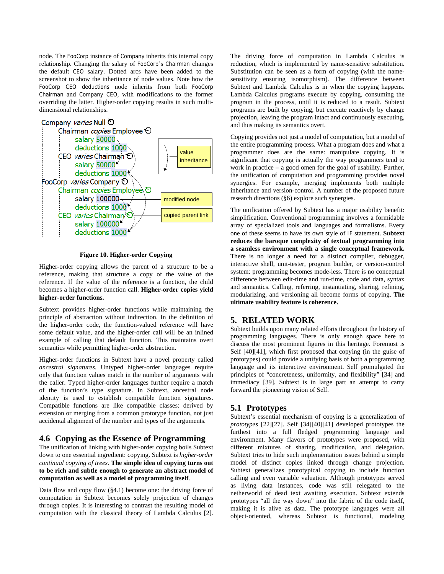node. The FooCorp instance of Company inherits this internal copy relationship. Changing the salary of FooCorp's Chairman changes the default CEO salary. Dotted arcs have been added to the screenshot to show the inheritance of node values. Note how the FooCorp CEO deductions node inherits from both FooCorp Chairman and Company CEO, with modifications to the former overriding the latter. Higher-order copying results in such multidimensional relationships.



**Figure 10. Higher-order Copying** 

Higher-order copying allows the parent of a structure to be a reference, making that structure a copy of the value of the reference. If the value of the reference is a function, the child becomes a higher-order function call. **Higher-order copies yield higher-order functions.**

Subtext provides higher-order functions while maintaining the principle of abstraction without indirection. In the definition of the higher-order code, the function-valued reference will have some default value, and the higher-order call will be an inlined example of calling that default function. This maintains overt semantics while permitting higher-order abstraction.

Higher-order functions in Subtext have a novel property called *ancestral signatures*. Untyped higher-order languages require only that function values match in the number of arguments with the caller. Typed higher-order languages further require a match of the function's type signature. In Subtext, ancestral node identity is used to establish compatible function signatures. Compatible functions are like compatible classes: derived by extension or merging from a common prototype function, not just accidental alignment of the number and types of the arguments.

# **4.6 Copying as the Essence of Programming**

The unification of linking with higher-order copying boils Subtext down to one essential ingredient: copying. Subtext is *higher-order continual copying of trees*. **The simple idea of copying turns out to be rich and subtle enough to generate an abstract model of computation as well as a model of programming itself**.

Data flow and copy flow (§4.1) become one: the driving force of computation in Subtext becomes solely projection of changes through copies. It is interesting to contrast the resulting model of computation with the classical theory of Lambda Calculus [2].

The driving force of computation in Lambda Calculus is reduction, which is implemented by name-sensitive substitution. Substitution can be seen as a form of copying (with the namesensitivity ensuring isomorphism). The difference between Subtext and Lambda Calculus is in when the copying happens. Lambda Calculus programs execute by copying, consuming the program in the process, until it is reduced to a result. Subtext programs are built by copying, but execute reactively by change projection, leaving the program intact and continuously executing, and thus making its semantics overt.

Copying provides not just a model of computation, but a model of the entire programming process. What a program does and what a programmer does are the same: manipulate copying. It is significant that copying is actually the way programmers tend to work in practice – a good omen for the goal of usability. Further, the unification of computation and programming provides novel synergies. For example, merging implements both multiple inheritance and version-control. A number of the proposed future research directions (§6) explore such synergies.

The unification offered by Subtext has a major usability benefit: simplification. Conventional programming involves a formidable array of specialized tools and languages and formalisms. Every one of these seems to have its own style of IF statement. **Subtext reduces the baroque complexity of textual programming into a seamless environment with a single conceptual framework.**  There is no longer a need for a distinct compiler, debugger, interactive shell, unit-tester, program builder, or version-control system: programming becomes mode-less. There is no conceptual difference between edit-time and run-time, code and data, syntax and semantics. Calling, referring, instantiating, sharing, refining, modularizing, and versioning all become forms of copying. **The ultimate usability feature is coherence.**

# **5. RELATED WORK**

Subtext builds upon many related efforts throughout the history of programming languages. There is only enough space here to discuss the most prominent figures in this heritage. Foremost is Self [40][41], which first proposed that copying (in the guise of prototypes) could provide a unifying basis of both a programming language and its interactive environment. Self promulgated the principles of "concreteness, uniformity, and flexibility" [34] and immediacy [39]. Subtext is in large part an attempt to carry forward the pioneering vision of Self.

# **5.1 Prototypes**

Subtext's essential mechanism of copying is a generalization of *prototypes* [22][27]. Self [34][40][41] developed prototypes the furthest into a full fledged programming language and environment. Many flavors of prototypes were proposed, with different mixtures of sharing, modification, and delegation. Subtext tries to hide such implementation issues behind a simple model of distinct copies linked through change projection. Subtext generalizes prototypical copying to include function calling and even variable valuation. Although prototypes served as living data instances, code was still relegated to the netherworld of dead text awaiting execution. Subtext extends prototypes "all the way down" into the fabric of the code itself, making it is alive as data. The prototype languages were all object-oriented, whereas Subtext is functional, modeling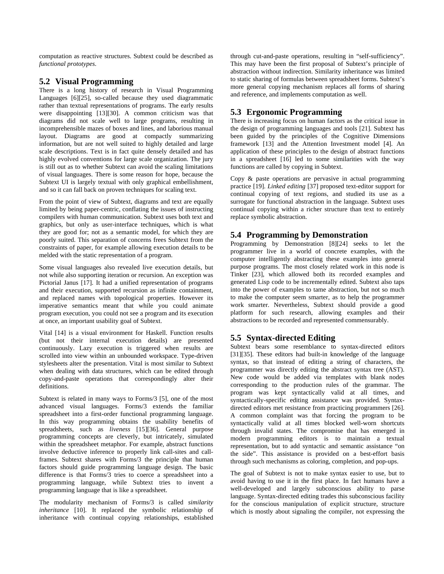computation as reactive structures. Subtext could be described as *functional prototypes*.

# **5.2 Visual Programming**

There is a long history of research in Visual Programming Languages [6][25], so-called because they used diagrammatic rather than textual representations of programs. The early results were disappointing [13][30]. A common criticism was that diagrams did not scale well to large programs, resulting in incomprehensible mazes of boxes and lines, and laborious manual layout. Diagrams are good at compactly summarizing information, but are not well suited to highly detailed and large scale descriptions. Text is in fact quite densely detailed and has highly evolved conventions for large scale organization. The jury is still out as to whether Subtext can avoid the scaling limitations of visual languages. There is some reason for hope, because the Subtext UI is largely textual with only graphical embellishment, and so it can fall back on proven techniques for scaling text.

From the point of view of Subtext, diagrams and text are equally limited by being paper-centric, conflating the issues of instructing compilers with human communication. Subtext uses both text and graphics, but only as user-interface techniques, which is what they are good for; not as a semantic model, for which they are poorly suited. This separation of concerns frees Subtext from the constraints of paper, for example allowing execution details to be melded with the static representation of a program.

Some visual languages also revealed live execution details, but not while also supporting iteration or recursion. An exception was Pictorial Janus [17]. It had a unified representation of programs and their execution, supported recursion as infinite containment, and replaced names with topological properties. However its imperative semantics meant that while you could animate program execution, you could not see a program and its execution at once, an important usability goal of Subtext.

Vital [14] is a visual environment for Haskell. Function results (but not their internal execution details) are presented continuously. Lazy execution is triggered when results are scrolled into view within an unbounded workspace. Type-driven stylesheets alter the presentation. Vital is most similar to Subtext when dealing with data structures, which can be edited through copy-and-paste operations that correspondingly alter their definitions.

Subtext is related in many ways to Forms/3 [5], one of the most advanced visual languages. Forms/3 extends the familiar spreadsheet into a first-order functional programming language. In this way programming obtains the usability benefits of spreadsheets, such as *liveness* [15][36]. General purpose programming concepts are cleverly, but intricately, simulated within the spreadsheet metaphor. For example, abstract functions involve deductive inference to properly link call-sites and callframes. Subtext shares with Forms/3 the principle that human factors should guide programming language design. The basic difference is that Forms/3 tries to coerce a spreadsheet into a programming language, while Subtext tries to invent a programming language that is like a spreadsheet.

The modularity mechanism of Forms/3 is called *similarity inheritance* [10]. It replaced the symbolic relationship of inheritance with continual copying relationships, established

through cut-and-paste operations, resulting in "self-sufficiency". This may have been the first proposal of Subtext's principle of abstraction without indirection. Similarity inheritance was limited to static sharing of formulas between spreadsheet forms. Subtext's more general copying mechanism replaces all forms of sharing and reference, and implements computation as well.

# **5.3 Ergonomic Programming**

There is increasing focus on human factors as the critical issue in the design of programming languages and tools [21]. Subtext has been guided by the principles of the Cognitive Dimensions framework [13] and the Attention Investment model [4]. An application of these principles to the design of abstract functions in a spreadsheet [16] led to some similarities with the way functions are called by copying in Subtext.

Copy & paste operations are pervasive in actual programming practice [19]. *Linked editing* [37] proposed text-editor support for continual copying of text regions, and studied its use as a surrogate for functional abstraction in the language. Subtext uses continual copying within a richer structure than text to entirely replace symbolic abstraction.

# **5.4 Programming by Demonstration**

Programming by Demonstration [8][24] seeks to let the programmer live in a world of concrete examples, with the computer intelligently abstracting these examples into general purpose programs. The most closely related work in this node is Tinker [23], which allowed both its recorded examples and generated Lisp code to be incrementally edited. Subtext also taps into the power of examples to tame abstraction, but not so much to make the computer seem smarter, as to help the programmer work smarter. Nevertheless, Subtext should provide a good platform for such research, allowing examples and their abstractions to be recorded and represented commensurably.

# **5.5 Syntax-directed Editing**

Subtext bears some resemblance to syntax-directed editors [31][35]. These editors had built-in knowledge of the language syntax, so that instead of editing a string of characters, the programmer was directly editing the abstract syntax tree (AST). New code would be added via templates with blank nodes corresponding to the production rules of the grammar. The program was kept syntactically valid at all times, and syntactically-specific editing assistance was provided. Syntaxdirected editors met resistance from practicing programmers [26]. A common complaint was that forcing the program to be syntactically valid at all times blocked well-worn shortcuts through invalid states. The compromise that has emerged in modern programming editors is to maintain a textual representation, but to add syntactic and semantic assistance "on the side". This assistance is provided on a best-effort basis through such mechanisms as coloring, completion, and pop-ups.

The goal of Subtext is not to make syntax easier to use, but to avoid having to use it in the first place. In fact humans have a well-developed and largely subconscious ability to parse language. Syntax-directed editing trades this subconscious facility for the conscious manipulation of explicit structure, structure which is mostly about signaling the compiler, not expressing the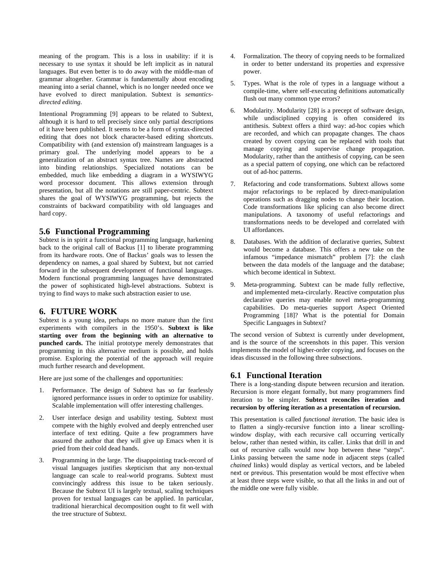meaning of the program. This is a loss in usability: if it is necessary to use syntax it should be left implicit as in natural languages. But even better is to do away with the middle-man of grammar altogether. Grammar is fundamentally about encoding meaning into a serial channel, which is no longer needed once we have evolved to direct manipulation. Subtext is *semanticsdirected editing*.

Intentional Programming [9] appears to be related to Subtext, although it is hard to tell precisely since only partial descriptions of it have been published. It seems to be a form of syntax-directed editing that does not block character-based editing shortcuts. Compatibility with (and extension of) mainstream languages is a primary goal. The underlying model appears to be a generalization of an abstract syntax tree. Names are abstracted into binding relationships. Specialized notations can be embedded, much like embedding a diagram in a WYSIWYG word processor document. This allows extension through presentation, but all the notations are still paper-centric. Subtext shares the goal of WYSIWYG programming, but rejects the constraints of backward compatibility with old languages and hard copy.

# **5.6 Functional Programming**

Subtext is in spirit a functional programming language, harkening back to the original call of Backus [1] to liberate programming from its hardware roots. One of Backus' goals was to lessen the dependency on names, a goal shared by Subtext, but not carried forward in the subsequent development of functional languages. Modern functional programming languages have demonstrated the power of sophisticated high-level abstractions. Subtext is trying to find ways to make such abstraction easier to use.

## **6. FUTURE WORK**

Subtext is a young idea, perhaps no more mature than the first experiments with compilers in the 1950's. **Subtext is like starting over from the beginning with an alternative to punched cards.** The initial prototype merely demonstrates that programming in this alternative medium is possible, and holds promise. Exploring the potential of the approach will require much further research and development.

Here are just some of the challenges and opportunities:

- 1. Performance. The design of Subtext has so far fearlessly ignored performance issues in order to optimize for usability. Scalable implementation will offer interesting challenges.
- 2. User interface design and usability testing. Subtext must compete with the highly evolved and deeply entrenched user interface of text editing. Quite a few programmers have assured the author that they will give up Emacs when it is pried from their cold dead hands.
- 3. Programming in the large. The disappointing track-record of visual languages justifies skepticism that any non-textual language can scale to real-world programs. Subtext must convincingly address this issue to be taken seriously. Because the Subtext UI is largely textual, scaling techniques proven for textual languages can be applied. In particular, traditional hierarchical decomposition ought to fit well with the tree structure of Subtext.
- 4. Formalization. The theory of copying needs to be formalized in order to better understand its properties and expressive power.
- 5. Types. What is the role of types in a language without a compile-time, where self-executing definitions automatically flush out many common type errors?
- Modularity. Modularity [28] is a precept of software design, while undisciplined copying is often considered its antithesis. Subtext offers a third way: ad-hoc copies which are recorded, and which can propagate changes. The chaos created by covert copying can be replaced with tools that manage copying and supervise change propagation. Modularity, rather than the antithesis of copying, can be seen as a special pattern of copying, one which can be refactored out of ad-hoc patterns.
- 7. Refactoring and code transformations. Subtext allows some major refactorings to be replaced by direct-manipulation operations such as dragging nodes to change their location. Code transformations like splicing can also become direct manipulations. A taxonomy of useful refactorings and transformations needs to be developed and correlated with UI affordances.
- 8. Databases. With the addition of declarative queries, Subtext would become a database. This offers a new take on the infamous "impedance mismatch" problem [7]: the clash between the data models of the language and the database; which become identical in Subtext.
- 9. Meta-programming. Subtext can be made fully reflective, and implemented meta-circularly. Reactive computation plus declarative queries may enable novel meta-programming capabilities. Do meta-queries support Aspect Oriented Programming [18]? What is the potential for Domain Specific Languages in Subtext?

The second version of Subtext is currently under development, and is the source of the screenshots in this paper. This version implements the model of higher-order copying, and focuses on the ideas discussed in the following three subsections.

# **6.1 Functional Iteration**

There is a long-standing dispute between recursion and iteration. Recursion is more elegant formally, but many programmers find iteration to be simpler. **Subtext reconciles iteration and recursion by offering iteration as a presentation of recursion.** 

This presentation is called *functional iteration*. The basic idea is to flatten a singly-recursive function into a linear scrollingwindow display, with each recursive call occurring vertically below, rather than nested within, its caller. Links that drill in and out of recursive calls would now hop between these "steps". Links passing between the same node in adjacent steps (called *chained* links) would display as vertical vectors, and be labeled next or previous. This presentation would be most effective when at least three steps were visible, so that all the links in and out of the middle one were fully visible.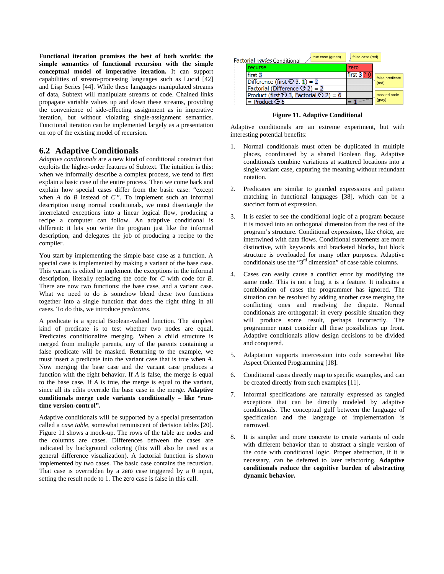**Functional iteration promises the best of both worlds: the simple semantics of functional recursion with the simple conceptual model of imperative iteration.** It can support capabilities of stream-processing languages such as Lucid [42] and Lisp Series [44]. While these languages manipulated streams of data, Subtext will manipulate streams of code. Chained links propagate variable values up and down these streams, providing the convenience of side-effecting assignment as in imperative iteration, but without violating single-assignment semantics. Functional iteration can be implemented largely as a presentation on top of the existing model of recursion.

# **6.2 Adaptive Conditionals**

*Adaptive conditionals* are a new kind of conditional construct that exploits the higher-order features of Subtext. The intuition is this: when we informally describe a complex process, we tend to first explain a basic case of the entire process. Then we come back and explain how special cases differ from the basic case: "except when *A* do *B* instead of *C*". To implement such an informal description using normal conditionals, we must disentangle the interrelated exceptions into a linear logical flow, producing a recipe a computer can follow. An adaptive conditional is different: it lets you write the program just like the informal description, and delegates the job of producing a recipe to the compiler.

You start by implementing the simple base case as a function. A special case is implemented by making a variant of the base case. This variant is edited to implement the exceptions in the informal description, literally replacing the code for *C* with code for *B*. There are now two functions: the base case, and a variant case. What we need to do is somehow blend these two functions together into a single function that does the right thing in all cases. To do this, we introduce *predicates*.

A predicate is a special Boolean-valued function. The simplest kind of predicate is to test whether two nodes are equal. Predicates conditionalize merging. When a child structure is merged from multiple parents, any of the parents containing a false predicate will be masked. Returning to the example, we must insert a predicate into the variant case that is true when *A*. Now merging the base case and the variant case produces a function with the right behavior. If *A* is false, the merge is equal to the base case. If *A* is true, the merge is equal to the variant, since all its edits override the base case in the merge. **Adaptive conditionals merge code variants conditionally – like "runtime version-control".**

Adaptive conditionals will be supported by a special presentation called a *case table*, somewhat reminiscent of decision tables [20]. Figure 11 shows a mock-up. The rows of the table are nodes and the columns are cases. Differences between the cases are indicated by background coloring (this will also be used as a general difference visualization). A factorial function is shown implemented by two cases. The basic case contains the recursion. That case is overridden by a zero case triggered by a 0 input, setting the result node to 1. The zero case is false in this call.

| true case (green)<br>Factorial varies Conditional                                        | false case (red) |                          |
|------------------------------------------------------------------------------------------|------------------|--------------------------|
| recurse                                                                                  | zero             |                          |
| first 3<br>Difference (first $\Theta$ 3, 1) = 2<br>Factorial (Difference $\Theta$ 2) = 2 | first 31         | false predicate<br>(red) |
| Product (first $\odot$ 3, Factorial $\odot$ 2) = 6<br>$=$ Product $\Theta$ 6             |                  | masked node<br>(gray)    |

**Figure 11. Adaptive Conditional** 

Adaptive conditionals are an extreme experiment, but with interesting potential benefits:

- 1. Normal conditionals must often be duplicated in multiple places, coordinated by a shared Boolean flag. Adaptive conditionals combine variations at scattered locations into a single variant case, capturing the meaning without redundant notation.
- Predicates are similar to guarded expressions and pattern matching in functional languages [38], which can be a succinct form of expression.
- 3. It is easier to see the conditional logic of a program because it is moved into an orthogonal dimension from the rest of the program's structure. Conditional expressions, like choice, are intertwined with data flows. Conditional statements are more distinctive, with keywords and bracketed blocks, but block structure is overloaded for many other purposes. Adaptive conditionals use the "3rd dimension" of case table columns.
- 4. Cases can easily cause a conflict error by modifying the same node. This is not a bug, it is a feature. It indicates a combination of cases the programmer has ignored. The situation can be resolved by adding another case merging the conflicting ones and resolving the dispute. Normal conditionals are orthogonal: in every possible situation they will produce some result, perhaps incorrectly. The programmer must consider all these possibilities up front. Adaptive conditionals allow design decisions to be divided and conquered.
- 5. Adaptation supports intercession into code somewhat like Aspect Oriented Programming [18].
- 6. Conditional cases directly map to specific examples, and can be created directly from such examples [11].
- 7. Informal specifications are naturally expressed as tangled exceptions that can be directly modeled by adaptive conditionals. The conceptual gulf between the language of specification and the language of implementation is narrowed.
- 8. It is simpler and more concrete to create variants of code with different behavior than to abstract a single version of the code with conditional logic. Proper abstraction, if it is necessary, can be deferred to later refactoring. **Adaptive conditionals reduce the cognitive burden of abstracting dynamic behavior.**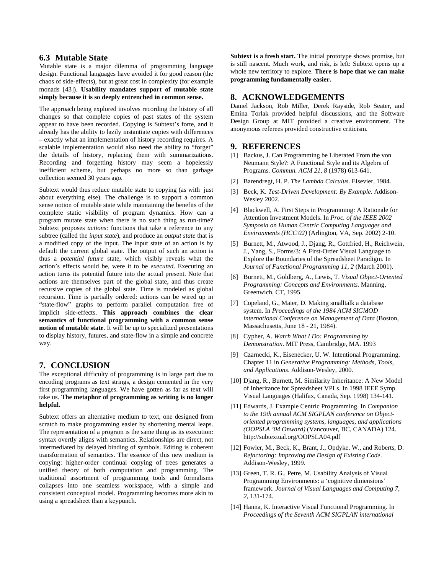#### **6.3 Mutable State**

Mutable state is a major dilemma of programming language design. Functional languages have avoided it for good reason (the chaos of side-effects), but at great cost in complexity (for example monads [43]). **Usability mandates support of mutable state simply because it is so deeply entrenched in common sense.**

The approach being explored involves recording the history of all changes so that complete copies of past states of the system appear to have been recorded. Copying is Subtext's forte, and it already has the ability to lazily instantiate copies with differences – exactly what an implementation of history recording requires. A scalable implementation would also need the ability to "forget" the details of history, replacing them with summarizations. Recording and forgetting history may seem a hopelessly inefficient scheme, but perhaps no more so than garbage collection seemed 30 years ago.

Subtext would thus reduce mutable state to copying (as with just about everything else). The challenge is to support a common sense notion of mutable state while maintaining the benefits of the complete static visibility of program dynamics. How can a program mutate state when there is no such thing as run-time? Subtext proposes *actions*: functions that take a reference to any subtree (called the *input state*), and produce an *output state* that is a modified copy of the input. The input state of an action is by default the current global state. The output of such an action is thus a *potential future* state, which visibly reveals what the action's effects would be, were it to be *executed*. Executing an action turns its potential future into the actual present. Note that actions are themselves part of the global state, and thus create recursive copies of the global state. Time is modeled as global recursion. Time is partially ordered: actions can be wired up in "state-flow" graphs to perform parallel computation free of implicit side-effects. **This approach combines the clear semantics of functional programming with a common sense notion of mutable state**. It will be up to specialized presentations to display history, futures, and state-flow in a simple and concrete way.

## **7. CONCLUSION**

The exceptional difficulty of programming is in large part due to encoding programs as text strings, a design cemented in the very first programming languages. We have gotten as far as text will take us. **The metaphor of programming as writing is no longer helpful.**

Subtext offers an alternative medium to text, one designed from scratch to make programming easier by shortening mental leaps. The representation of a program is the same thing as its execution: syntax overtly aligns with semantics. Relationships are direct, not intermediated by delayed binding of symbols. Editing is coherent transformation of semantics. The essence of this new medium is copying: higher-order continual copying of trees generates a unified theory of both computation and programming. The traditional assortment of programming tools and formalisms collapses into one seamless workspace, with a simple and consistent conceptual model. Programming becomes more akin to using a spreadsheet than a keypunch.

**Subtext is a fresh start.** The initial prototype shows promise, but is still nascent. Much work, and risk, is left: Subtext opens up a whole new territory to explore. **There is hope that we can make programming fundamentally easier.** 

# **8. ACKNOWLEDGEMENTS**

Daniel Jackson, Rob Miller, Derek Rayside, Rob Seater, and Emina Torlak provided helpful discussions, and the Software Design Group at MIT provided a creative environment. The anonymous referees provided constructive criticism.

#### **9. REFERENCES**

- [1] Backus, J. Can Programming be Liberated From the von Neumann Style?: A Functional Style and its Algebra of Programs. *Commun. ACM 21, 8* (1978) 613-641.
- [2] Barendregt, H. P. *The Lambda Calculus*. Elsevier, 1984.
- [3] Beck, K. *Test-Driven Development: By Example*. Addison-Wesley 2002.
- [4] Blackwell, A. First Steps in Programming: A Rationale for Attention Investment Models. In *Proc. of the IEEE 2002 Symposia on Human Centric Computing Languages and Environments (HCC'02)* (Arlington, VA, Sep. 2002) 2-10.
- [5] Burnett, M., Atwood, J., Djang, R., Gottfried, H., Reichwein, J., Yang, S., Forms/3: A First-Order Visual Language to Explore the Boundaries of the Spreadsheet Paradigm. In *Journal of Functional Programming 11, 2* (March 2001).
- [6] Burnett, M., Goldberg, A., Lewis, T. *Visual Object-Oriented Programming: Concepts and Environments*. Manning, Greenwich, CT, 1995.
- [7] Copeland, G., Maier, D. Making smalltalk a database system. In *Proceedings of the 1984 ACM SIGMOD international Conference on Management of Data* (Boston, Massachusetts, June 18 - 21, 1984).
- [8] Cypher, A. *Watch What I Do: Programming by Demonstration*. MIT Press, Cambridge, MA. 1993
- [9] Czarnecki, K., Eisenecker, U. W. Intentional Programming. Chapter 11 in *Generative Programming: Methods, Tools, and Applications*. Addison-Wesley, 2000.
- [10] Djang, R., Burnett, M. Similarity Inheritance: A New Model of Inheritance for Spreadsheet VPLs. In 1998 IEEE Symp. Visual Languages (Halifax, Canada, Sep. 1998) 134-141.
- [11] Edwards, J. Example Centric Programming. In *Companion to the 19th annual ACM SIGPLAN conference on Objectoriented programming systems, languages, and applications (OOPSLA '04 Onward)* (Vancouver, BC, CANADA) 124. http://subtextual.org/OOPSLA04.pdf
- [12] Fowler, M., Beck, K., Brant, J., Opdyke, W., and Roberts, D. *Refactoring: Improving the Design of Existing Code*. Addison-Wesley, 1999.
- [13] Green, T. R. G., Petre, M. Usability Analysis of Visual Programming Environments: a 'cognitive dimensions' framework. *Journal of Visual Languages and Computing 7, 2*, 131-174.
- [14] Hanna, K. Interactive Visual Functional Programming. In *Proceedings of the Seventh ACM SIGPLAN international*